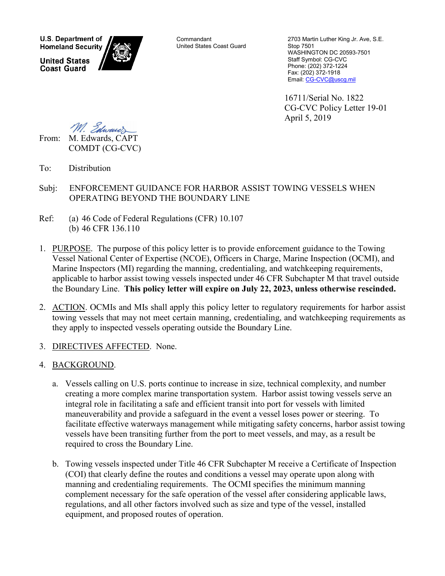**U.S. Department of Homeland Security United States** 

**Coast Guard** 

Commandant United States Coast Guard

2703 Martin Luther King Jr. Ave, S.E. Stop 7501 WASHINGTON DC 20593-7501 Staff Symbol: CG-CVC Phone: (202) 372-1224 Fax: (202) 372-1918 Email[: CG-CVC@uscg.mil](mailto:CG-CVC@uscg.mil)

16711/Serial No. 1822 CG-CVC Policy Letter 19-01 April 5, 2019

M. Edward From: M. Edwards, CAPT

COMDT (CG-CVC)

- To: Distribution
- Subj: ENFORCEMENT GUIDANCE FOR HARBOR ASSIST TOWING VESSELS WHEN OPERATING BEYOND THE BOUNDARY LINE
- Ref: (a) 46 Code of Federal Regulations (CFR) 10.107 (b) 46 CFR 136.110
- 1. PURPOSE. The purpose of this policy letter is to provide enforcement guidance to the Towing Vessel National Center of Expertise (NCOE), Officers in Charge, Marine Inspection (OCMI), and Marine Inspectors (MI) regarding the manning, credentialing, and watchkeeping requirements, applicable to harbor assist towing vessels inspected under 46 CFR Subchapter M that travel outside the Boundary Line. **This policy letter will expire on July 22, 2023, unless otherwise rescinded.**
- 2. ACTION. OCMIs and MIs shall apply this policy letter to regulatory requirements for harbor assist towing vessels that may not meet certain manning, credentialing, and watchkeeping requirements as they apply to inspected vessels operating outside the Boundary Line.
- 3. DIRECTIVES AFFECTED. None.
- 4. BACKGROUND.
	- a. Vessels calling on U.S. ports continue to increase in size, technical complexity, and number creating a more complex marine transportation system. Harbor assist towing vessels serve an integral role in facilitating a safe and efficient transit into port for vessels with limited maneuverability and provide a safeguard in the event a vessel loses power or steering. To facilitate effective waterways management while mitigating safety concerns, harbor assist towing vessels have been transiting further from the port to meet vessels, and may, as a result be required to cross the Boundary Line.
	- b. Towing vessels inspected under Title 46 CFR Subchapter M receive a Certificate of Inspection (COI) that clearly define the routes and conditions a vessel may operate upon along with manning and credentialing requirements. The OCMI specifies the minimum manning complement necessary for the safe operation of the vessel after considering applicable laws, regulations, and all other factors involved such as size and type of the vessel, installed equipment, and proposed routes of operation.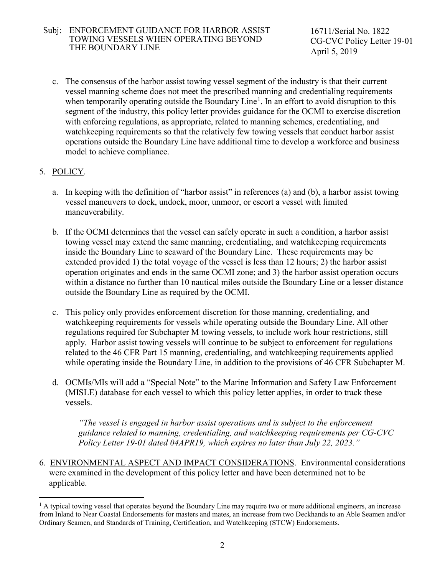## Subj: ENFORCEMENT GUIDANCE FOR HARBOR ASSIST TOWING VESSELS WHEN OPERATING BEYOND THE BOUNDARY LINE

 16711/Serial No. 1822 CG-CVC Policy Letter 19-01 April 5, 2019

c. The consensus of the harbor assist towing vessel segment of the industry is that their current vessel manning scheme does not meet the prescribed manning and credentialing requirements when temporarily operating outside the Boundary Line<sup>[1](#page-1-0)</sup>. In an effort to avoid disruption to this segment of the industry, this policy letter provides guidance for the OCMI to exercise discretion with enforcing regulations, as appropriate, related to manning schemes, credentialing, and watchkeeping requirements so that the relatively few towing vessels that conduct harbor assist operations outside the Boundary Line have additional time to develop a workforce and business model to achieve compliance.

## 5. POLICY.

- a. In keeping with the definition of "harbor assist" in references (a) and (b), a harbor assist towing vessel maneuvers to dock, undock, moor, unmoor, or escort a vessel with limited maneuverability.
- b. If the OCMI determines that the vessel can safely operate in such a condition, a harbor assist towing vessel may extend the same manning, credentialing, and watchkeeping requirements inside the Boundary Line to seaward of the Boundary Line. These requirements may be extended provided 1) the total voyage of the vessel is less than 12 hours; 2) the harbor assist operation originates and ends in the same OCMI zone; and 3) the harbor assist operation occurs within a distance no further than 10 nautical miles outside the Boundary Line or a lesser distance outside the Boundary Line as required by the OCMI.
- c. This policy only provides enforcement discretion for those manning, credentialing, and watchkeeping requirements for vessels while operating outside the Boundary Line. All other regulations required for Subchapter M towing vessels, to include work hour restrictions, still apply. Harbor assist towing vessels will continue to be subject to enforcement for regulations related to the 46 CFR Part 15 manning, credentialing, and watchkeeping requirements applied while operating inside the Boundary Line, in addition to the provisions of 46 CFR Subchapter M.
- d. OCMIs/MIs will add a "Special Note" to the Marine Information and Safety Law Enforcement (MISLE) database for each vessel to which this policy letter applies, in order to track these vessels.

*"The vessel is engaged in harbor assist operations and is subject to the enforcement guidance related to manning, credentialing, and watchkeeping requirements per CG-CVC Policy Letter 19-01 dated 04APR19, which expires no later than July 22, 2023."* 

6. ENVIRONMENTAL ASPECT AND IMPACT CONSIDERATIONS. Environmental considerations were examined in the development of this policy letter and have been determined not to be applicable.

<span id="page-1-0"></span><sup>&</sup>lt;sup>1</sup> A typical towing vessel that operates beyond the Boundary Line may require two or more additional engineers, an increase from Inland to Near Coastal Endorsements for masters and mates, an increase from two Deckhands to an Able Seamen and/or Ordinary Seamen, and Standards of Training, Certification, and Watchkeeping (STCW) Endorsements.